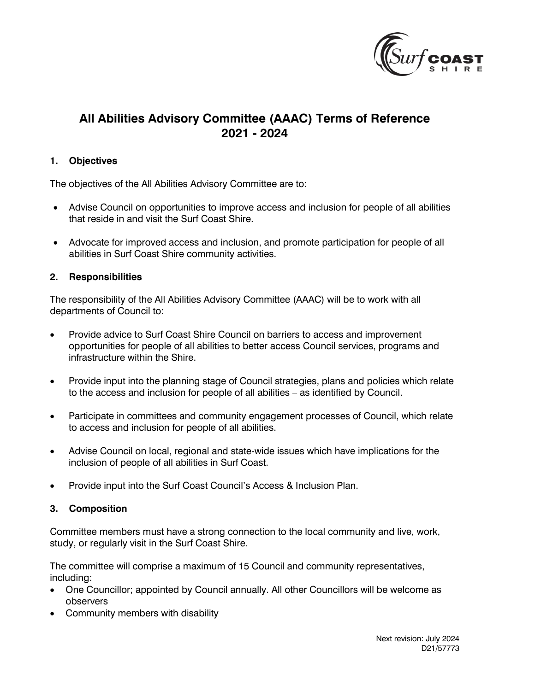

# **All Abilities Advisory Committee (AAAC) Terms of Reference 2021 - 2024**

## **1. Objectives**

The objectives of the All Abilities Advisory Committee are to:

- Advise Council on opportunities to improve access and inclusion for people of all abilities that reside in and visit the Surf Coast Shire.
- Advocate for improved access and inclusion, and promote participation for people of all abilities in Surf Coast Shire community activities.

### **2. Responsibilities**

The responsibility of the All Abilities Advisory Committee (AAAC) will be to work with all departments of Council to:

- Provide advice to Surf Coast Shire Council on barriers to access and improvement opportunities for people of all abilities to better access Council services, programs and infrastructure within the Shire.
- Provide input into the planning stage of Council strategies, plans and policies which relate to the access and inclusion for people of all abilities – as identified by Council.
- Participate in committees and community engagement processes of Council, which relate to access and inclusion for people of all abilities.
- Advise Council on local, regional and state-wide issues which have implications for the inclusion of people of all abilities in Surf Coast.
- Provide input into the Surf Coast Council's Access & Inclusion Plan.

### **3. Composition**

Committee members must have a strong connection to the local community and live, work, study, or regularly visit in the Surf Coast Shire.

The committee will comprise a maximum of 15 Council and community representatives, including:

- One Councillor; appointed by Council annually. All other Councillors will be welcome as observers
- Community members with disability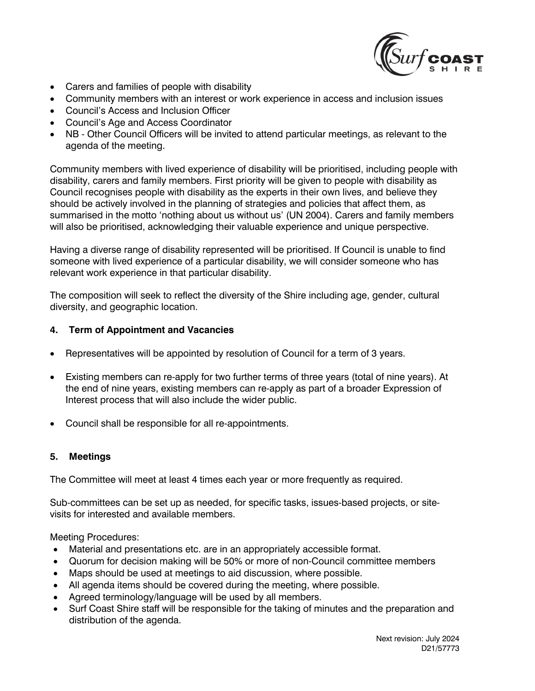

- Carers and families of people with disability
- Community members with an interest or work experience in access and inclusion issues
- Council's Access and Inclusion Officer
- Council's Age and Access Coordinator
- NB Other Council Officers will be invited to attend particular meetings, as relevant to the agenda of the meeting.

Community members with lived experience of disability will be prioritised, including people with disability, carers and family members. First priority will be given to people with disability as Council recognises people with disability as the experts in their own lives, and believe they should be actively involved in the planning of strategies and policies that affect them, as summarised in the motto 'nothing about us without us' (UN 2004). Carers and family members will also be prioritised, acknowledging their valuable experience and unique perspective.

Having a diverse range of disability represented will be prioritised. If Council is unable to find someone with lived experience of a particular disability, we will consider someone who has relevant work experience in that particular disability.

The composition will seek to reflect the diversity of the Shire including age, gender, cultural diversity, and geographic location.

# **4. Term of Appointment and Vacancies**

- Representatives will be appointed by resolution of Council for a term of 3 years.
- Existing members can re-apply for two further terms of three years (total of nine years). At the end of nine years, existing members can re-apply as part of a broader Expression of Interest process that will also include the wider public.
- Council shall be responsible for all re-appointments.

### **5. Meetings**

The Committee will meet at least 4 times each year or more frequently as required.

Sub-committees can be set up as needed, for specific tasks, issues-based projects, or sitevisits for interested and available members.

Meeting Procedures:

- Material and presentations etc. are in an appropriately accessible format.
- Quorum for decision making will be 50% or more of non-Council committee members
- Maps should be used at meetings to aid discussion, where possible.
- All agenda items should be covered during the meeting, where possible.
- Agreed terminology/language will be used by all members.
- Surf Coast Shire staff will be responsible for the taking of minutes and the preparation and distribution of the agenda.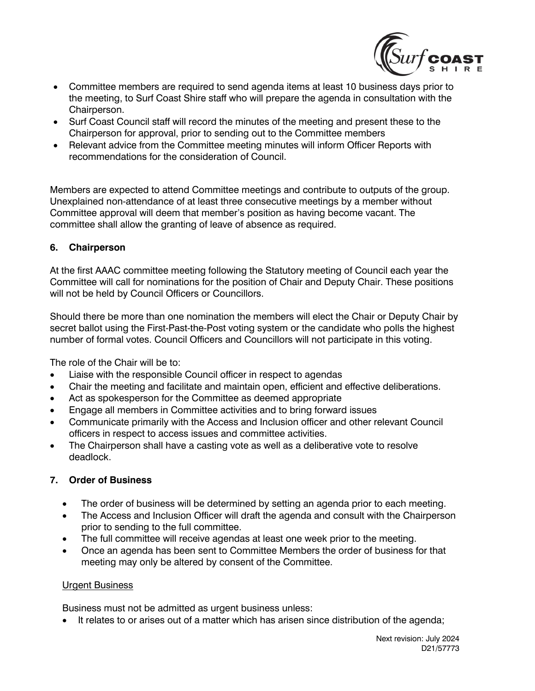

- Committee members are required to send agenda items at least 10 business days prior to the meeting, to Surf Coast Shire staff who will prepare the agenda in consultation with the Chairperson.
- Surf Coast Council staff will record the minutes of the meeting and present these to the Chairperson for approval, prior to sending out to the Committee members
- Relevant advice from the Committee meeting minutes will inform Officer Reports with recommendations for the consideration of Council.

Members are expected to attend Committee meetings and contribute to outputs of the group. Unexplained non-attendance of at least three consecutive meetings by a member without Committee approval will deem that member's position as having become vacant. The committee shall allow the granting of leave of absence as required.

# **6. Chairperson**

At the first AAAC committee meeting following the Statutory meeting of Council each year the Committee will call for nominations for the position of Chair and Deputy Chair. These positions will not be held by Council Officers or Councillors.

Should there be more than one nomination the members will elect the Chair or Deputy Chair by secret ballot using the First-Past-the-Post voting system or the candidate who polls the highest number of formal votes. Council Officers and Councillors will not participate in this voting.

The role of the Chair will be to:

- Liaise with the responsible Council officer in respect to agendas
- Chair the meeting and facilitate and maintain open, efficient and effective deliberations.
- Act as spokesperson for the Committee as deemed appropriate
- Engage all members in Committee activities and to bring forward issues
- Communicate primarily with the Access and Inclusion officer and other relevant Council officers in respect to access issues and committee activities.
- The Chairperson shall have a casting vote as well as a deliberative vote to resolve deadlock.

# **7. Order of Business**

- The order of business will be determined by setting an agenda prior to each meeting.
- The Access and Inclusion Officer will draft the agenda and consult with the Chairperson prior to sending to the full committee.
- The full committee will receive agendas at least one week prior to the meeting.
- Once an agenda has been sent to Committee Members the order of business for that meeting may only be altered by consent of the Committee.

### Urgent Business

Business must not be admitted as urgent business unless:

It relates to or arises out of a matter which has arisen since distribution of the agenda;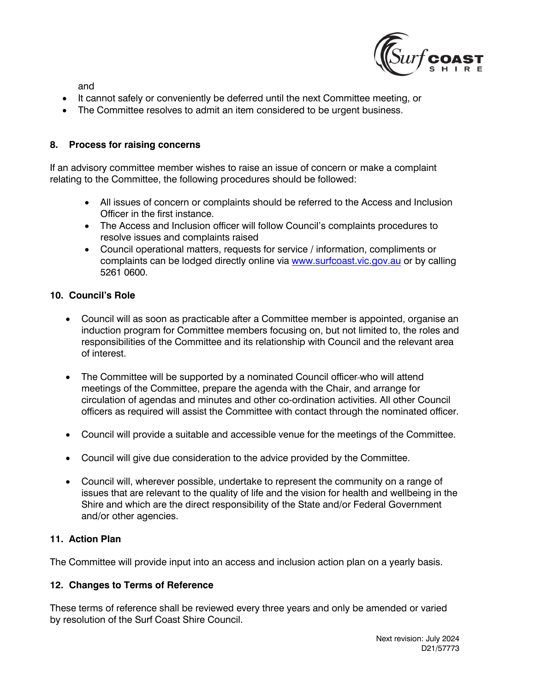

and

- It cannot safely or conveniently be deferred until the next Committee meeting, or
- The Committee resolves to admit an item considered to be urgent business.

#### **8. Process for raising concerns**

If an advisory committee member wishes to raise an issue of concern or make a complaint relating to the Committee, the following procedures should be followed:

- All issues of concern or complaints should be referred to the Access and Inclusion Officer in the first instance.
- The Access and Inclusion officer will follow Council's complaints procedures to resolve issues and complaints raised
- Council operational matters, requests for service / information, compliments or complaints can be lodged directly online via [www.surfcoast.vic.gov.au](www.surfcoast.vic.gov.au%2520) or by calling 5261 0600.

#### **10. Council's Role**

- Council will as soon as practicable after a Committee member is appointed, organise an induction program for Committee members focusing on, but not limited to, the roles and responsibilities of the Committee and its relationship with Council and the relevant area of interest.
- The Committee will be supported by a nominated Council officer-who will attend meetings of the Committee, prepare the agenda with the Chair, and arrange for circulation of agendas and minutes and other co-ordination activities. All other Council officers as required will assist the Committee with contact through the nominated officer.
- Council will provide a suitable and accessible venue for the meetings of the Committee.
- Council will give due consideration to the advice provided by the Committee.
- Council will, wherever possible, undertake to represent the community on a range of issues that are relevant to the quality of life and the vision for health and wellbeing in the Shire and which are the direct responsibility of the State and/or Federal Government and/or other agencies.

### **11. Action Plan**

The Committee will provide input into an access and inclusion action plan on a yearly basis.

### **12. Changes to Terms of Reference**

These terms of reference shall be reviewed every three years and only be amended or varied by resolution of the Surf Coast Shire Council.